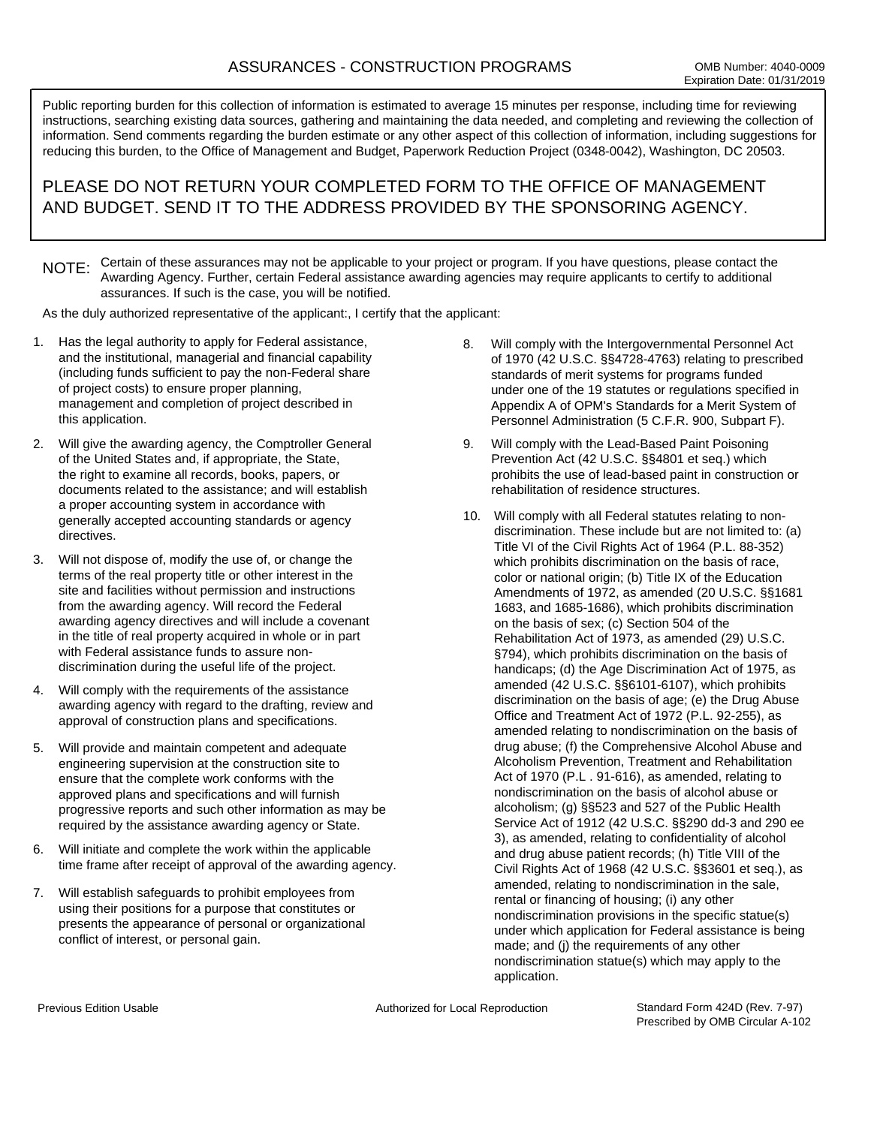**View Burden Statement** 

Public reporting burden for this collection of information is estimated to average 15 minutes per response, including time for reviewing instructions, searching existing data sources, gathering and maintaining the data needed, and completing and reviewing the collection of information. Send comments regarding the burden estimate or any other aspect of this collection of information, including suggestions for reducing this burden, to the Office of Management and Budget, Paperwork Reduction Project (0348-0042), Washington, DC 20503,

## PLEASE DO NOT RETURN YOUR COMPLETED FORM TO THE OFFICE OF MANAGEMENT AND BUDGET. SEND IT TO THE ADDRESS PROVIDED BY THE SPONSORING AGENCY.

NOTE: Certain of these assurances may not be applicable to your project or program. If you have questions, please contact the Awarding Agency. Further, certain Federal assistance awarding agencies may require applicants to certify to additional assurances. If such is the case, you will be notified.

As the duly authorized representative of the applicant:, I certify that the applicant:

- 1. Has the legal authority to apply for Federal assistance, and the institutional, managerial and financial capability (including funds sufficient to pay the non-Federal share of project costs) to ensure proper planning, management and completion of project described in this application.
- 2. Will give the awarding agency, the Comptroller General of the United States and, if appropriate, the State, the right to examine all records, books, papers, or documents related to the assistance; and will establish a proper accounting system in accordance with generally accepted accounting standards or agency directives.
- Will not dispose of, modify the use of, or change the  $3<sub>1</sub>$ terms of the real property title or other interest in the site and facilities without permission and instructions from the awarding agency. Will record the Federal awarding agency directives and will include a covenant in the title of real property acquired in whole or in part with Federal assistance funds to assure nondiscrimination during the useful life of the project.
- 4. Will comply with the requirements of the assistance awarding agency with regard to the drafting, review and approval of construction plans and specifications.
- 5. Will provide and maintain competent and adequate engineering supervision at the construction site to ensure that the complete work conforms with the approved plans and specifications and will furnish progressive reports and such other information as may be required by the assistance awarding agency or State.
- 6. Will initiate and complete the work within the applicable time frame after receipt of approval of the awarding agency.
- 7. Will establish safeguards to prohibit employees from using their positions for a purpose that constitutes or presents the appearance of personal or organizational conflict of interest, or personal gain.
- Will comply with the Intergovernmental Personnel Act 8. of 1970 (42 U.S.C. §§4728-4763) relating to prescribed standards of merit systems for programs funded under one of the 19 statutes or regulations specified in Appendix A of OPM's Standards for a Merit System of Personnel Administration (5 C.F.R. 900, Subpart F).
- 9. Will comply with the Lead-Based Paint Poisoning Prevention Act (42 U.S.C. §§4801 et seq.) which prohibits the use of lead-based paint in construction or rehabilitation of residence structures.
- 10. Will comply with all Federal statutes relating to nondiscrimination. These include but are not limited to: (a) Title VI of the Civil Rights Act of 1964 (P.L. 88-352) which prohibits discrimination on the basis of race, color or national origin; (b) Title IX of the Education Amendments of 1972, as amended (20 U.S.C. §§1681 1683, and 1685-1686), which prohibits discrimination on the basis of sex; (c) Section 504 of the Rehabilitation Act of 1973, as amended (29) U.S.C. §794), which prohibits discrimination on the basis of handicaps; (d) the Age Discrimination Act of 1975, as amended (42 U.S.C. §§6101-6107), which prohibits discrimination on the basis of age; (e) the Drug Abuse Office and Treatment Act of 1972 (P.L. 92-255), as amended relating to nondiscrimination on the basis of drug abuse; (f) the Comprehensive Alcohol Abuse and Alcoholism Prevention, Treatment and Rehabilitation Act of 1970 (P.L. 91-616), as amended, relating to nondiscrimination on the basis of alcohol abuse or alcoholism; (g) §§523 and 527 of the Public Health Service Act of 1912 (42 U.S.C. §§290 dd-3 and 290 ee 3), as amended, relating to confidentiality of alcohol and drug abuse patient records; (h) Title VIII of the Civil Rights Act of 1968 (42 U.S.C. §§3601 et seq.), as amended, relating to nondiscrimination in the sale, rental or financing of housing; (i) any other nondiscrimination provisions in the specific statue(s) under which application for Federal assistance is being made; and (i) the requirements of any other nondiscrimination statue(s) which may apply to the application.

Authorized for Local Reproduction